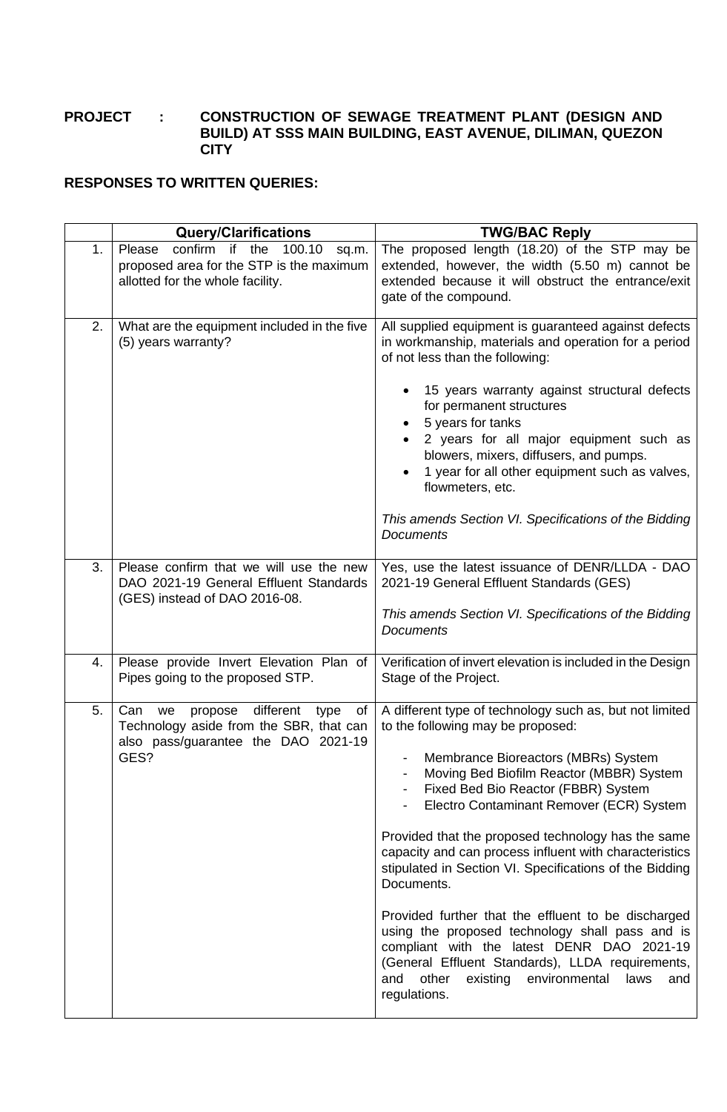## **PROJECT : CONSTRUCTION OF SEWAGE TREATMENT PLANT (DESIGN AND BUILD) AT SSS MAIN BUILDING, EAST AVENUE, DILIMAN, QUEZON CITY**

## **RESPONSES TO WRITTEN QUERIES:**

|    | <b>Query/Clarifications</b>                                                                                                               | <b>TWG/BAC Reply</b>                                                                                                                                                                                                                                                                                                                                                                                                                                                                                                                                                                                                                                                                                                                                     |
|----|-------------------------------------------------------------------------------------------------------------------------------------------|----------------------------------------------------------------------------------------------------------------------------------------------------------------------------------------------------------------------------------------------------------------------------------------------------------------------------------------------------------------------------------------------------------------------------------------------------------------------------------------------------------------------------------------------------------------------------------------------------------------------------------------------------------------------------------------------------------------------------------------------------------|
| 1. | confirm if the<br>Please<br>100.10<br>sq.m.<br>proposed area for the STP is the maximum<br>allotted for the whole facility.               | The proposed length (18.20) of the STP may be<br>extended, however, the width (5.50 m) cannot be<br>extended because it will obstruct the entrance/exit<br>gate of the compound.                                                                                                                                                                                                                                                                                                                                                                                                                                                                                                                                                                         |
| 2. | What are the equipment included in the five<br>(5) years warranty?                                                                        | All supplied equipment is guaranteed against defects<br>in workmanship, materials and operation for a period<br>of not less than the following:<br>15 years warranty against structural defects<br>for permanent structures<br>5 years for tanks<br>2 years for all major equipment such as<br>blowers, mixers, diffusers, and pumps.<br>1 year for all other equipment such as valves,<br>flowmeters, etc.<br>This amends Section VI. Specifications of the Bidding<br><b>Documents</b>                                                                                                                                                                                                                                                                 |
| 3. | Please confirm that we will use the new<br>DAO 2021-19 General Effluent Standards<br>(GES) instead of DAO 2016-08.                        | Yes, use the latest issuance of DENR/LLDA - DAO<br>2021-19 General Effluent Standards (GES)<br>This amends Section VI. Specifications of the Bidding<br><b>Documents</b>                                                                                                                                                                                                                                                                                                                                                                                                                                                                                                                                                                                 |
| 4. | Please provide Invert Elevation Plan of<br>Pipes going to the proposed STP.                                                               | Verification of invert elevation is included in the Design<br>Stage of the Project.                                                                                                                                                                                                                                                                                                                                                                                                                                                                                                                                                                                                                                                                      |
| 5. | different<br>type<br>of<br>Can<br>we<br>propose<br>Technology aside from the SBR, that can<br>also pass/guarantee the DAO 2021-19<br>GES? | A different type of technology such as, but not limited<br>to the following may be proposed:<br>Membrance Bioreactors (MBRs) System<br>Moving Bed Biofilm Reactor (MBBR) System<br>Fixed Bed Bio Reactor (FBBR) System<br>Electro Contaminant Remover (ECR) System<br>-<br>Provided that the proposed technology has the same<br>capacity and can process influent with characteristics<br>stipulated in Section VI. Specifications of the Bidding<br>Documents.<br>Provided further that the effluent to be discharged<br>using the proposed technology shall pass and is<br>compliant with the latest DENR DAO 2021-19<br>(General Effluent Standards), LLDA requirements,<br>other<br>existing<br>environmental<br>and<br>laws<br>and<br>regulations. |